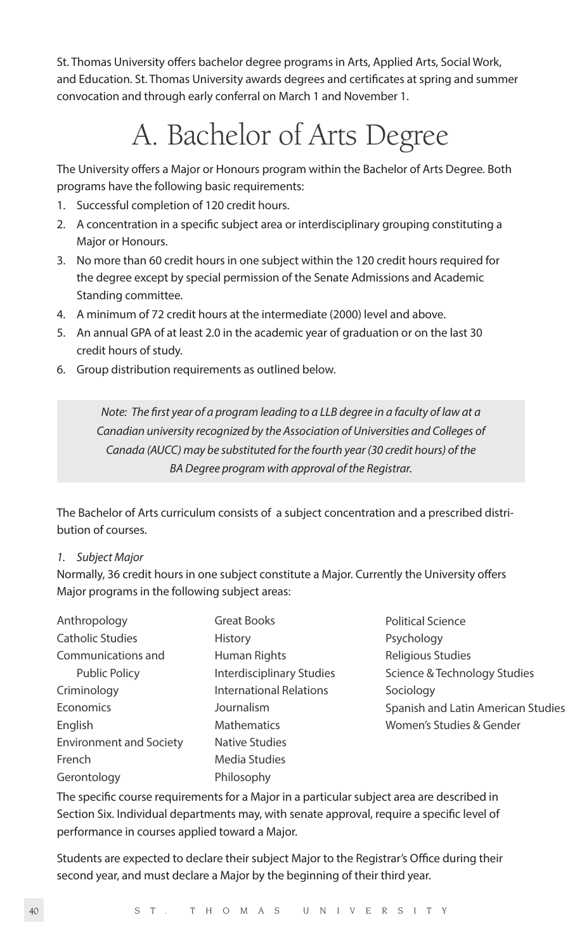St. Thomas University offers bachelor degree programs in Arts, Applied Arts, Social Work, and Education. St. Thomas University awards degrees and certificates at spring and summer convocation and through early conferral on March 1 and November 1.

## A. Bachelor of Arts Degree

The University offers a Major or Honours program within the Bachelor of Arts Degree. Both programs have the following basic requirements:

- 1. Successful completion of 120 credit hours.
- 2. A concentration in a specific subject area or interdisciplinary grouping constituting a Major or Honours.
- 3. No more than 60 credit hours in one subject within the 120 credit hours required for the degree except by special permission of the Senate Admissions and Academic Standing committee.
- 4. A minimum of 72 credit hours at the intermediate (2000) level and above.
- 5. An annual GPA of at least 2.0 in the academic year of graduation or on the last 30 credit hours of study.
- 6. Group distribution requirements as outlined below.

*Note: The first year of a program leading to a LLB degree in a faculty of law at a Canadian university recognized by the Association of Universities and Colleges of Canada (AUCC) may be substituted for the fourth year (30 credit hours) of the BA Degree program with approval of the Registrar.* 

The Bachelor of Arts curriculum consists of a subject concentration and a prescribed distribution of courses.

## *1. Subject Major*

Normally, 36 credit hours in one subject constitute a Major. Currently the University offers Major programs in the following subject areas:

| Anthropology                   | <b>Great Books</b>               |  |
|--------------------------------|----------------------------------|--|
| Catholic Studies               | History                          |  |
| Communications and             | Human Rights                     |  |
| <b>Public Policy</b>           | <b>Interdisciplinary Studies</b> |  |
| Criminology                    | <b>International Relations</b>   |  |
| Economics                      | Journalism                       |  |
| English                        | <b>Mathematics</b>               |  |
| <b>Environment and Society</b> | <b>Native Studies</b>            |  |
| French                         | Media Studies                    |  |
| Gerontology                    | Philosophy                       |  |

Political Science Psychology Religious Studies Science & Technology Studies Sociology Spanish and Latin American Studies Women's Studies & Gender

The specific course requirements for a Major in a particular subject area are described in Section Six. Individual departments may, with senate approval, require a specific level of performance in courses applied toward a Major.

Students are expected to declare their subject Major to the Registrar's Office during their second year, and must declare a Major by the beginning of their third year.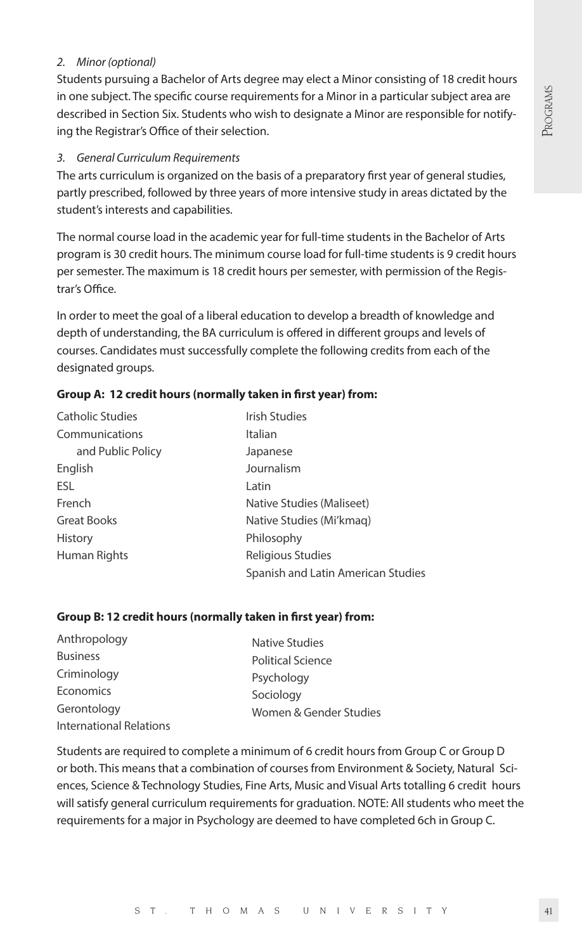## *2. Minor (optional)*

Students pursuing a Bachelor of Arts degree may elect a Minor consisting of 18 credit hours in one subject. The specific course requirements for a Minor in a particular subject area are described in Section Six. Students who wish to designate a Minor are responsible for notifying the Registrar's Office of their selection.

#### *3. General Curriculum Requirements*

The arts curriculum is organized on the basis of a preparatory first year of general studies, partly prescribed, followed by three years of more intensive study in areas dictated by the student's interests and capabilities.

The normal course load in the academic year for full-time students in the Bachelor of Arts program is 30 credit hours. The minimum course load for full-time students is 9 credit hours per semester. The maximum is 18 credit hours per semester, with permission of the Registrar's Office.

In order to meet the goal of a liberal education to develop a breadth of knowledge and depth of understanding, the BA curriculum is offered in different groups and levels of courses. Candidates must successfully complete the following credits from each of the designated groups.

## **Group A: 12 credit hours (normally taken in first year) from:**

| Catholic Studies  | <b>Irish Studies</b>               |  |
|-------------------|------------------------------------|--|
| Communications    | Italian                            |  |
| and Public Policy | Japanese                           |  |
| English           | Journalism                         |  |
| ESL               | Latin                              |  |
| French            | Native Studies (Maliseet)          |  |
| Great Books       | Native Studies (Mi'kmag)           |  |
| History           | Philosophy                         |  |
| Human Rights      | Religious Studies                  |  |
|                   | Spanish and Latin American Studies |  |

#### **Group B: 12 credit hours (normally taken in first year) from:**

| Anthropology            | Native Studies           |
|-------------------------|--------------------------|
| <b>Business</b>         | <b>Political Science</b> |
| Criminology             | Psychology               |
| Economics               | Sociology                |
| Gerontology             | Women & Gender Studies   |
| International Relations |                          |

Students are required to complete a minimum of 6 credit hours from Group C or Group D or both. This means that a combination of courses from Environment & Society, Natural Sciences, Science & Technology Studies, Fine Arts, Music and Visual Arts totalling 6 credit hours will satisfy general curriculum requirements for graduation. NOTE: All students who meet the requirements for a major in Psychology are deemed to have completed 6ch in Group C.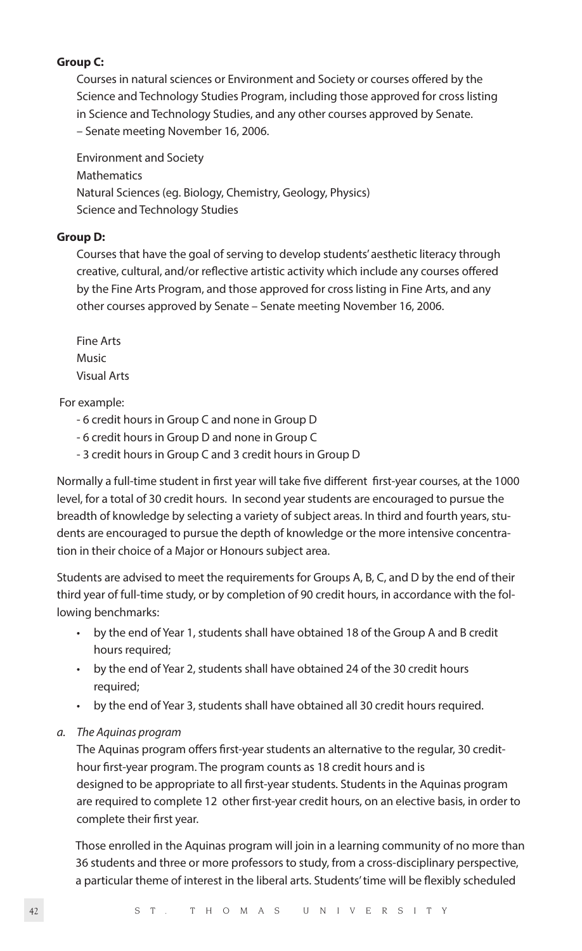## **Group C:**

Courses in natural sciences or Environment and Society or courses offered by the Science and Technology Studies Program, including those approved for cross listing in Science and Technology Studies, and any other courses approved by Senate. – Senate meeting November 16, 2006.

Environment and Society Mathematics Natural Sciences (eg. Biology, Chemistry, Geology, Physics) Science and Technology Studies

#### **Group D:**

Courses that have the goal of serving to develop students' aesthetic literacy through creative, cultural, and/or reflective artistic activity which include any courses offered by the Fine Arts Program, and those approved for cross listing in Fine Arts, and any other courses approved by Senate – Senate meeting November 16, 2006.

Fine Arts Music Visual Arts

For example:

- 6 credit hours in Group C and none in Group D
- 6 credit hours in Group D and none in Group C
- 3 credit hours in Group C and 3 credit hours in Group D

Normally a full-time student in first year will take five different first-year courses, at the 1000 level, for a total of 30 credit hours. In second year students are encouraged to pursue the breadth of knowledge by selecting a variety of subject areas. In third and fourth years, students are encouraged to pursue the depth of knowledge or the more intensive concentration in their choice of a Major or Honours subject area.

Students are advised to meet the requirements for Groups A, B, C, and D by the end of their third year of full-time study, or by completion of 90 credit hours, in accordance with the following benchmarks:

- by the end of Year 1, students shall have obtained 18 of the Group A and B credit hours required;
- by the end of Year 2, students shall have obtained 24 of the 30 credit hours required;
- by the end of Year 3, students shall have obtained all 30 credit hours required.
- *a. The Aquinas program*

The Aquinas program offers first-year students an alternative to the regular, 30 credithour first-year program. The program counts as 18 credit hours and is designed to be appropriate to all first-year students. Students in the Aquinas program are required to complete 12 other first-year credit hours, on an elective basis, in order to complete their first year.

Those enrolled in the Aquinas program will join in a learning community of no more than 36 students and three or more professors to study, from a cross-disciplinary perspective, a particular theme of interest in the liberal arts. Students' time will be flexibly scheduled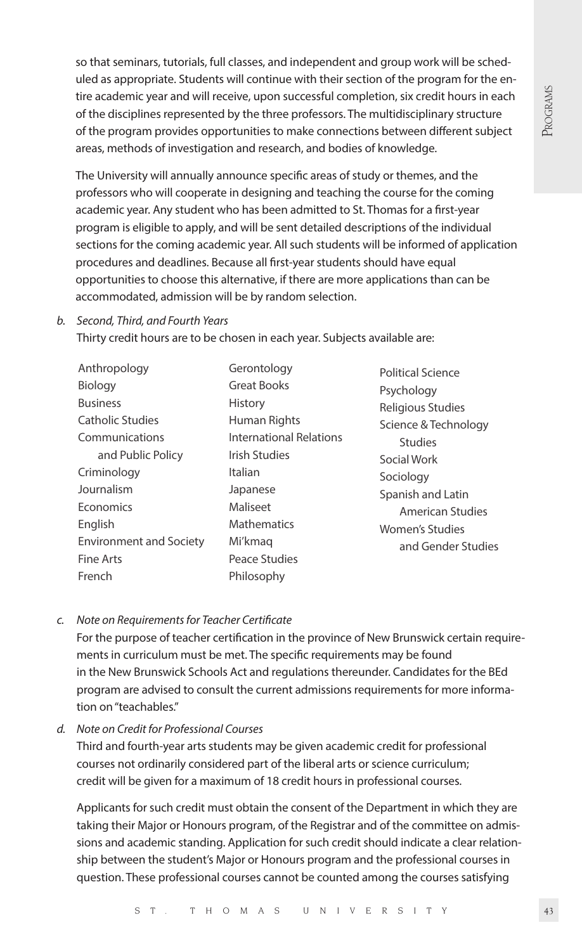so that seminars, tutorials, full classes, and independent and group work will be scheduled as appropriate. Students will continue with their section of the program for the entire academic year and will receive, upon successful completion, six credit hours in each of the disciplines represented by the three professors. The multidisciplinary structure of the program provides opportunities to make connections between different subject areas, methods of investigation and research, and bodies of knowledge.

The University will annually announce specific areas of study or themes, and the professors who will cooperate in designing and teaching the course for the coming academic year. Any student who has been admitted to St. Thomas for a first-year program is eligible to apply, and will be sent detailed descriptions of the individual sections for the coming academic year. All such students will be informed of application procedures and deadlines. Because all first-year students should have equal opportunities to choose this alternative, if there are more applications than can be accommodated, admission will be by random selection.

#### *b. Second, Third, and Fourth Years*

Thirty credit hours are to be chosen in each year. Subjects available are:

| Anthropology                   | Gerontology                    | Political ! |
|--------------------------------|--------------------------------|-------------|
| Biology                        | <b>Great Books</b>             | Psycholo    |
| <b>Business</b>                | History                        | Religious   |
| <b>Catholic Studies</b>        | Human Rights                   | Science &   |
| Communications                 | <b>International Relations</b> | Stud        |
| and Public Policy              | <b>Irish Studies</b>           | Social Wo   |
| Criminology                    | Italian                        | Sociolog    |
| Journalism                     | Japanese                       | Spanish a   |
| Economics                      | Maliseet                       | Ame         |
| English                        | <b>Mathematics</b>             | Women's     |
| <b>Environment and Society</b> | Mi'kmag                        | and (       |
| <b>Fine Arts</b>               | Peace Studies                  |             |
| French                         | Philosophy                     |             |

Science ody s Studies **& Technology Studies** ork Sociology and Latin rican Studies Studies and Gender Studies

#### *c. Note on Requirements for Teacher Certificate*

 For the purpose of teacher certification in the province of New Brunswick certain requirements in curriculum must be met. The specific requirements may be found in the New Brunswick Schools Act and regulations thereunder. Candidates for the BEd program are advised to consult the current admissions requirements for more information on "teachables."

*d. Note on Credit for Professional Courses* 

Third and fourth-year arts students may be given academic credit for professional courses not ordinarily considered part of the liberal arts or science curriculum; credit will be given for a maximum of 18 credit hours in professional courses.

 Applicants for such credit must obtain the consent of the Department in which they are taking their Major or Honours program, of the Registrar and of the committee on admissions and academic standing. Application for such credit should indicate a clear relationship between the student's Major or Honours program and the professional courses in question. These professional courses cannot be counted among the courses satisfying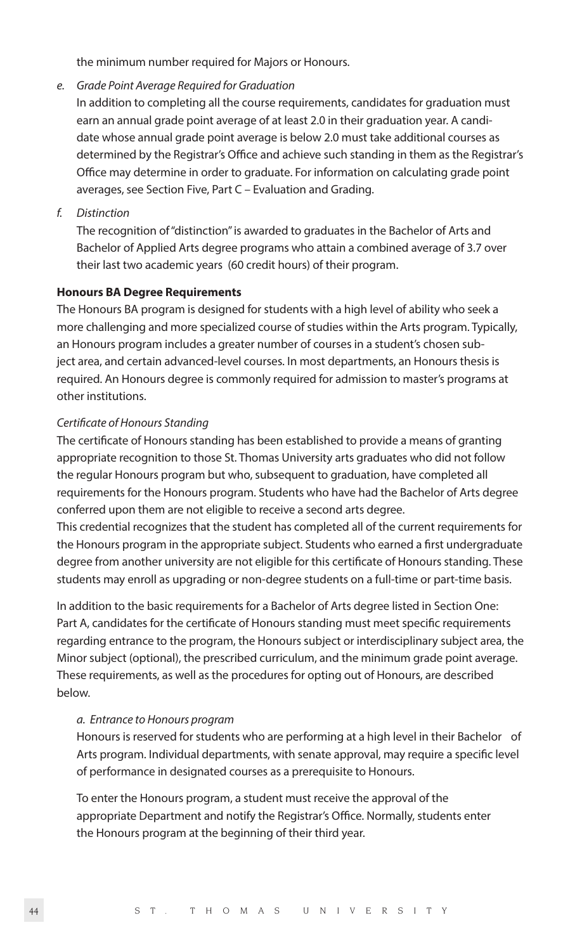the minimum number required for Majors or Honours.

*e. Grade Point Average Required for Graduation* 

 In addition to completing all the course requirements, candidates for graduation must earn an annual grade point average of at least 2.0 in their graduation year. A candidate whose annual grade point average is below 2.0 must take additional courses as determined by the Registrar's Office and achieve such standing in them as the Registrar's Office may determine in order to graduate. For information on calculating grade point averages, see Section Five, Part C – Evaluation and Grading.

*f. Distinction*

 The recognition of "distinction" is awarded to graduates in the Bachelor of Arts and Bachelor of Applied Arts degree programs who attain a combined average of 3.7 over their last two academic years (60 credit hours) of their program.

#### **Honours BA Degree Requirements**

The Honours BA program is designed for students with a high level of ability who seek a more challenging and more specialized course of studies within the Arts program. Typically, an Honours program includes a greater number of courses in a student's chosen subject area, and certain advanced-level courses. In most departments, an Honours thesis is required. An Honours degree is commonly required for admission to master's programs at other institutions.

#### *Certificate of Honours Standing*

The certificate of Honours standing has been established to provide a means of granting appropriate recognition to those St. Thomas University arts graduates who did not follow the regular Honours program but who, subsequent to graduation, have completed all requirements for the Honours program. Students who have had the Bachelor of Arts degree conferred upon them are not eligible to receive a second arts degree.

This credential recognizes that the student has completed all of the current requirements for the Honours program in the appropriate subject. Students who earned a first undergraduate degree from another university are not eligible for this certificate of Honours standing. These students may enroll as upgrading or non-degree students on a full-time or part-time basis.

In addition to the basic requirements for a Bachelor of Arts degree listed in Section One: Part A, candidates for the certificate of Honours standing must meet specific requirements regarding entrance to the program, the Honours subject or interdisciplinary subject area, the Minor subject (optional), the prescribed curriculum, and the minimum grade point average. These requirements, as well as the procedures for opting out of Honours, are described below.

#### *a. Entrance to Honours program*

 Honours is reserved for students who are performing at a high level in their Bachelor of Arts program. Individual departments, with senate approval, may require a specific level of performance in designated courses as a prerequisite to Honours.

 To enter the Honours program, a student must receive the approval of the appropriate Department and notify the Registrar's Office. Normally, students enter the Honours program at the beginning of their third year.